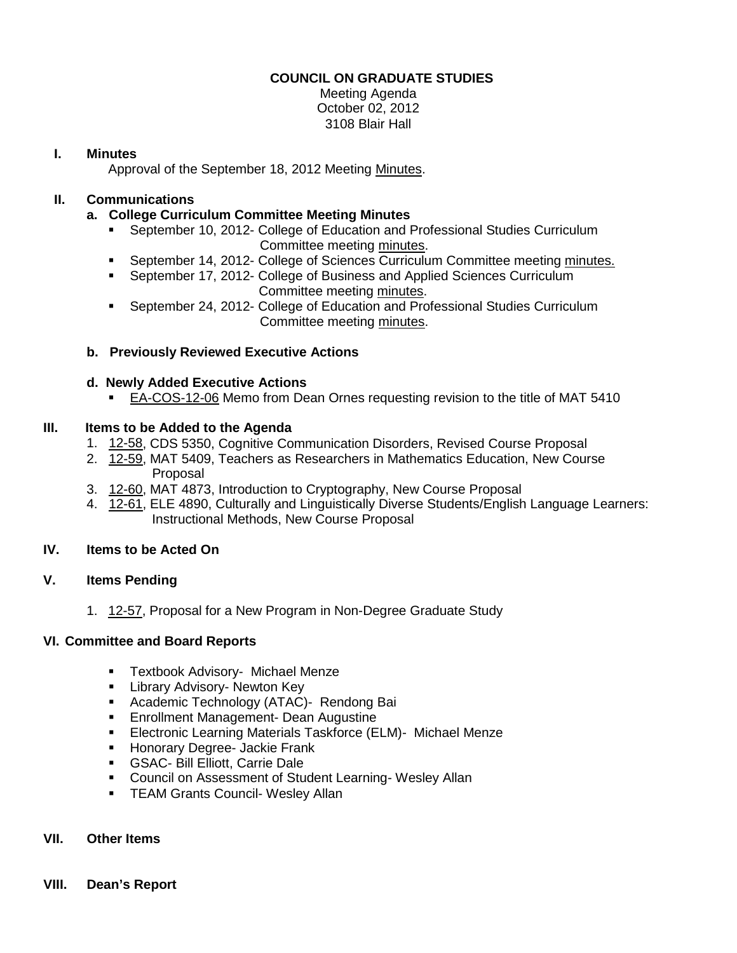# **COUNCIL ON GRADUATE STUDIES**

Meeting Agenda October 02, 2012 3108 Blair Hall

# **I. Minutes**

Approval of the September 18, 2012 Meeting [Minutes.](http://castle.eiu.edu/eiucgs/currentminutes/Minutes9-18-12.pdf)

### **II. Communications**

# **a. College Curriculum Committee Meeting Minutes**

- September 10, 2012- College of Education and Professional Studies Curriculum Committee meeting [minutes.](http://castle.eiu.edu/~eiucgs/currentagendaitems/CEPSMin9-10-12.pdf)
- September 14, 2012- College of Sciences Curriculum Committee meeting [minutes.](http://castle.eiu.edu/~eiucgs/currentagendaitems/COSMin9-14-12.pdf)
- September 17, 2012- College of Business and Applied Sciences Curriculum Committee meeting [minutes.](http://castle.eiu.edu/~eiucgs/currentagendaitems/LCBASMin9-17-12.pdf)
- September 24, 2012- College of Education and Professional Studies Curriculum Committee meeting [minutes.](http://castle.eiu.edu/~eiucgs/currentagendaitems/CEPSMin9-24-12.pdf)

### **b. Previously Reviewed Executive Actions**

### **d. Newly Added Executive Actions**

[EA-COS-12-06](http://castle.eiu.edu/~eiucgs/exec-actions/EA-COS-12-06.pdf) Memo from Dean Ornes requesting revision to the title of MAT 5410

### **III. Items to be Added to the Agenda**

- 1. [12-58,](http://castle.eiu.edu/~eiucgs/currentagendaitems/agenda12-58.pdf) CDS 5350, Cognitive Communication Disorders, Revised Course Proposal
- 2. [12-59,](http://castle.eiu.edu/~eiucgs/currentagendaitems/agenda12-59.pdf) MAT 5409, Teachers as Researchers in Mathematics Education, New Course Proposal
- 3. [12-60,](http://castle.eiu.edu/~eiucgs/currentagendaitems/agenda12-60.pdf) MAT 4873, Introduction to Cryptography, New Course Proposal
- 4. [12-61,](http://castle.eiu.edu/~eiucgs/currentagendaitems/agenda12-61.pdf) ELE 4890, Culturally and Linguistically Diverse Students/English Language Learners: Instructional Methods, New Course Proposal

### **IV. Items to be Acted On**

# **V. Items Pending**

1. [12-57,](http://castle.eiu.edu/~eiucgs/currentagendaitems/agenda12-57.pdf) Proposal for a New Program in Non-Degree Graduate Study

#### **VI. Committee and Board Reports**

- **Textbook Advisory- Michael Menze**
- **E** Library Advisory- Newton Key
- **Academic Technology (ATAC)- Rendong Bai**
- **Enrollment Management- Dean Augustine**
- **Electronic Learning Materials Taskforce (ELM)- Michael Menze**
- **Honorary Degree- Jackie Frank**
- **GSAC- Bill Elliott, Carrie Dale**
- **Council on Assessment of Student Learning- Wesley Allan**
- **TEAM Grants Council- Wesley Allan**

### **VII. Other Items**

#### **VIII. Dean's Report**